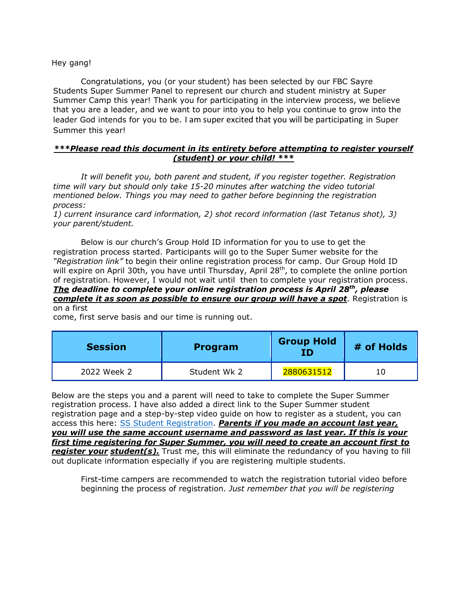Hey gang!

Congratulations, you (or your student) has been selected by our FBC Sayre Students Super Summer Panel to represent our church and student ministry at Super Summer Camp this year! Thank you for participating in the interview process, we believe that you are a leader, and we want to pour into you to help you continue to grow into the leader God intends for you to be. I am super excited that you will be participating in Super Summer this year!

## *\*\*\*Please read this document in its entirety before attempting to register yourself (student) or your child! \*\*\**

*It will benefit you, both parent and student, if you register together. Registration time will vary but should only take 15-20 minutes after watching the video tutorial mentioned below. Things you may need to gather before beginning the registration process:*

*1) current insurance card information, 2) shot record information (last Tetanus shot), 3) your parent/student.*

Below is our church's Group Hold ID information for you to use to get the registration process started. Participants will go to the Super Sumer website for the *"Registration link"* to begin their online registration process for camp. Our Group Hold ID will expire on April 30th, you have until Thursday, April 28<sup>th</sup>, to complete the online portion of registration. However, I would not wait until then to complete your registration process. *The deadline to complete your online registration process is April 28th , please complete it as soon as possible to ensure our group will have a spot*. Registration is on a first

come, first serve basis and our time is running out.

| <b>Session</b> | <b>Program</b> | <b>Group Hold</b><br>ΙD | # of Holds |
|----------------|----------------|-------------------------|------------|
| 2022 Week 2    | Student Wk 2   | 2880631512              | 10         |

Below are the steps you and a parent will need to take to complete the Super Summer registration process. I have also added a direct link to the Super Summer student registration page and a step-by-step video guide on how to register as a student, you can access this here: SS Student [Registration.](https://ssoklahoma.com/registration/studentregistration/) *Parents if you made an account last year, you will use the same account username and password as last year. If this is your first time registering for Super Summer, you will need to create an account first to register your student(s).* Trust me, this will eliminate the redundancy of you having to fill out duplicate information especially if you are registering multiple students.

First-time campers are recommended to watch the registration tutorial video before beginning the process of registration. *Just remember that you will be registering*